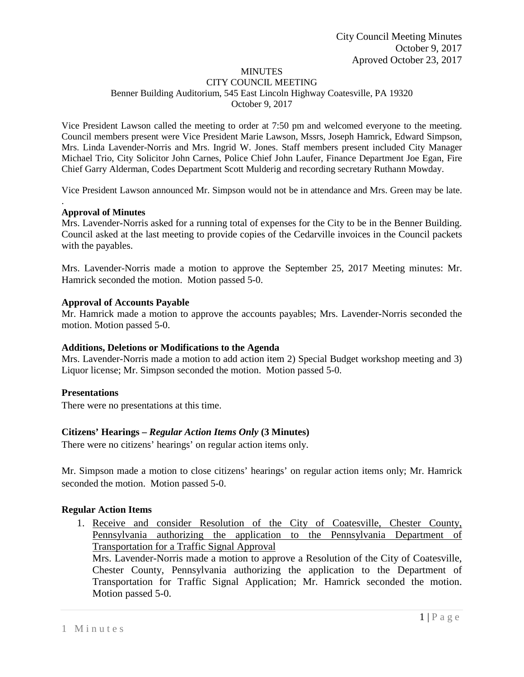# MINUTES

#### CITY COUNCIL MEETING Benner Building Auditorium, 545 East Lincoln Highway Coatesville, PA 19320 October 9, 2017

Vice President Lawson called the meeting to order at 7:50 pm and welcomed everyone to the meeting. Council members present were Vice President Marie Lawson, Mssrs, Joseph Hamrick, Edward Simpson, Mrs. Linda Lavender-Norris and Mrs. Ingrid W. Jones. Staff members present included City Manager Michael Trio, City Solicitor John Carnes, Police Chief John Laufer, Finance Department Joe Egan, Fire Chief Garry Alderman, Codes Department Scott Mulderig and recording secretary Ruthann Mowday.

Vice President Lawson announced Mr. Simpson would not be in attendance and Mrs. Green may be late.

#### **Approval of Minutes**

.

Mrs. Lavender-Norris asked for a running total of expenses for the City to be in the Benner Building. Council asked at the last meeting to provide copies of the Cedarville invoices in the Council packets with the payables.

Mrs. Lavender-Norris made a motion to approve the September 25, 2017 Meeting minutes: Mr. Hamrick seconded the motion. Motion passed 5-0.

#### **Approval of Accounts Payable**

Mr. Hamrick made a motion to approve the accounts payables; Mrs. Lavender-Norris seconded the motion. Motion passed 5-0.

### **Additions, Deletions or Modifications to the Agenda**

Mrs. Lavender-Norris made a motion to add action item 2) Special Budget workshop meeting and 3) Liquor license; Mr. Simpson seconded the motion. Motion passed 5-0.

### **Presentations**

There were no presentations at this time.

### **Citizens' Hearings –** *Regular Action Items Only* **(3 Minutes)**

There were no citizens' hearings' on regular action items only.

Mr. Simpson made a motion to close citizens' hearings' on regular action items only; Mr. Hamrick seconded the motion. Motion passed 5-0.

### **Regular Action Items**

1. Receive and consider Resolution of the City of Coatesville, Chester County, Pennsylvania authorizing the application to the Pennsylvania Department of Transportation for a Traffic Signal Approval

Mrs. Lavender-Norris made a motion to approve a Resolution of the City of Coatesville, Chester County, Pennsylvania authorizing the application to the Department of Transportation for Traffic Signal Application; Mr. Hamrick seconded the motion. Motion passed 5-0.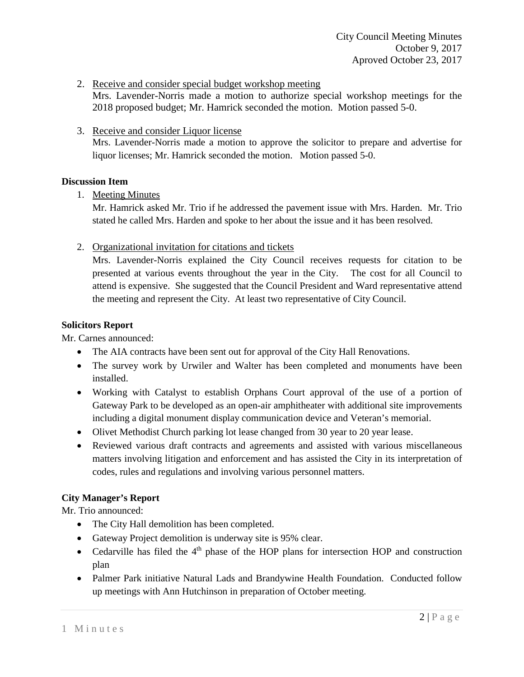2. Receive and consider special budget workshop meeting

Mrs. Lavender-Norris made a motion to authorize special workshop meetings for the 2018 proposed budget; Mr. Hamrick seconded the motion. Motion passed 5-0.

3. Receive and consider Liquor license Mrs. Lavender-Norris made a motion to approve the solicitor to prepare and advertise for liquor licenses; Mr. Hamrick seconded the motion. Motion passed 5-0.

## **Discussion Item**

1. Meeting Minutes

Mr. Hamrick asked Mr. Trio if he addressed the pavement issue with Mrs. Harden. Mr. Trio stated he called Mrs. Harden and spoke to her about the issue and it has been resolved.

2. Organizational invitation for citations and tickets

Mrs. Lavender-Norris explained the City Council receives requests for citation to be presented at various events throughout the year in the City. The cost for all Council to attend is expensive. She suggested that the Council President and Ward representative attend the meeting and represent the City. At least two representative of City Council.

## **Solicitors Report**

Mr. Carnes announced:

- The AIA contracts have been sent out for approval of the City Hall Renovations.
- The survey work by Urwiler and Walter has been completed and monuments have been installed.
- Working with Catalyst to establish Orphans Court approval of the use of a portion of Gateway Park to be developed as an open-air amphitheater with additional site improvements including a digital monument display communication device and Veteran's memorial.
- Olivet Methodist Church parking lot lease changed from 30 year to 20 year lease.
- Reviewed various draft contracts and agreements and assisted with various miscellaneous matters involving litigation and enforcement and has assisted the City in its interpretation of codes, rules and regulations and involving various personnel matters.

# **City Manager's Report**

Mr. Trio announced:

- The City Hall demolition has been completed.
- Gateway Project demolition is underway site is 95% clear.
- Cedarville has filed the  $4<sup>th</sup>$  phase of the HOP plans for intersection HOP and construction plan
- Palmer Park initiative Natural Lads and Brandywine Health Foundation. Conducted follow up meetings with Ann Hutchinson in preparation of October meeting.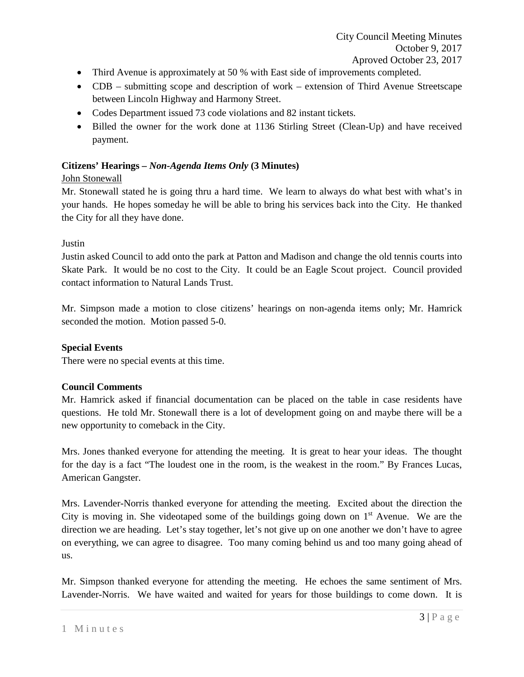- Third Avenue is approximately at 50 % with East side of improvements completed.
- CDB submitting scope and description of work extension of Third Avenue Streetscape between Lincoln Highway and Harmony Street.
- Codes Department issued 73 code violations and 82 instant tickets.
- Billed the owner for the work done at 1136 Stirling Street (Clean-Up) and have received payment.

# **Citizens' Hearings –** *Non-Agenda Items Only* **(3 Minutes)**

## John Stonewall

Mr. Stonewall stated he is going thru a hard time. We learn to always do what best with what's in your hands. He hopes someday he will be able to bring his services back into the City. He thanked the City for all they have done.

## Justin

Justin asked Council to add onto the park at Patton and Madison and change the old tennis courts into Skate Park. It would be no cost to the City. It could be an Eagle Scout project. Council provided contact information to Natural Lands Trust.

Mr. Simpson made a motion to close citizens' hearings on non-agenda items only; Mr. Hamrick seconded the motion. Motion passed 5-0.

# **Special Events**

There were no special events at this time.

## **Council Comments**

Mr. Hamrick asked if financial documentation can be placed on the table in case residents have questions. He told Mr. Stonewall there is a lot of development going on and maybe there will be a new opportunity to comeback in the City.

Mrs. Jones thanked everyone for attending the meeting. It is great to hear your ideas. The thought for the day is a fact "The loudest one in the room, is the weakest in the room." By Frances Lucas, American Gangster.

Mrs. Lavender-Norris thanked everyone for attending the meeting. Excited about the direction the City is moving in. She videotaped some of the buildings going down on  $1<sup>st</sup>$  Avenue. We are the direction we are heading. Let's stay together, let's not give up on one another we don't have to agree on everything, we can agree to disagree. Too many coming behind us and too many going ahead of us.

Mr. Simpson thanked everyone for attending the meeting. He echoes the same sentiment of Mrs. Lavender-Norris. We have waited and waited for years for those buildings to come down. It is